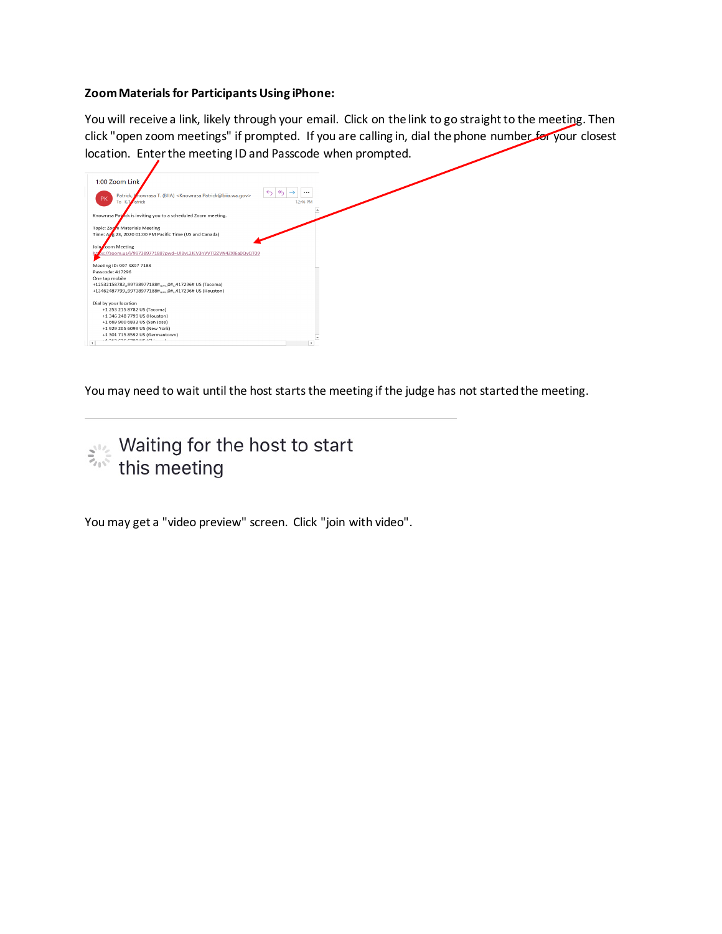## **Zoom Materials for Participants Using iPhone:**

You will receive a link, likely through your email. Click on the link to go straight to the meeting. Then click "open zoom meetings" if prompted. If you are calling in, dial the phone number for your closest location. Enter the meeting ID and Passcode when prompted.



You may need to wait until the host starts the meeting if the judge has not started the meeting.



You may get a "video preview" screen. Click "join with video".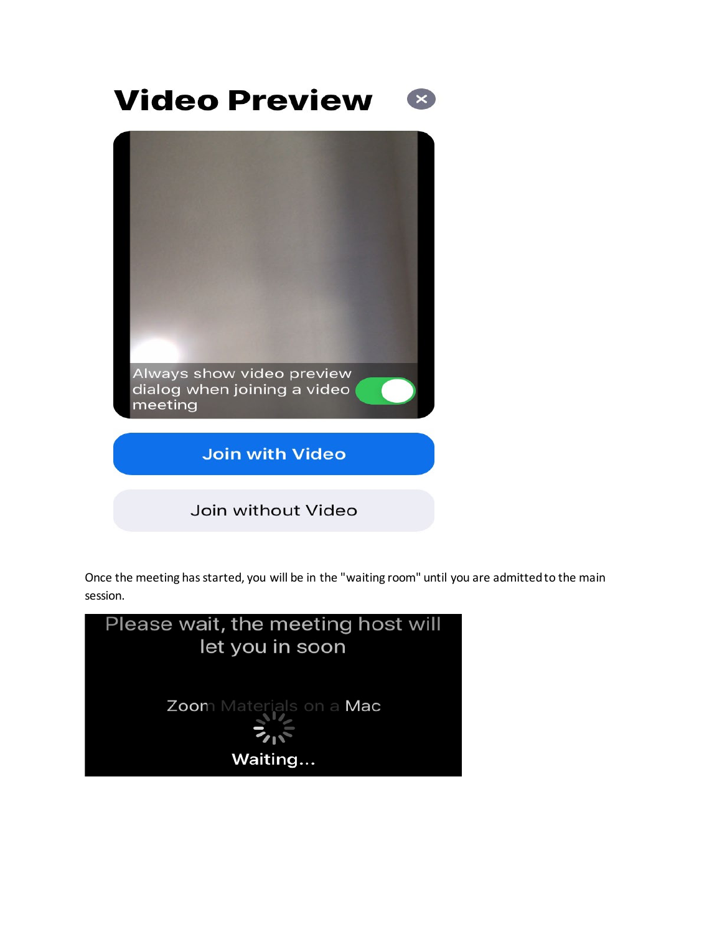## **Video Preview**





Once the meeting has started, you will be in the "waiting room" until you are admitted to the main session.

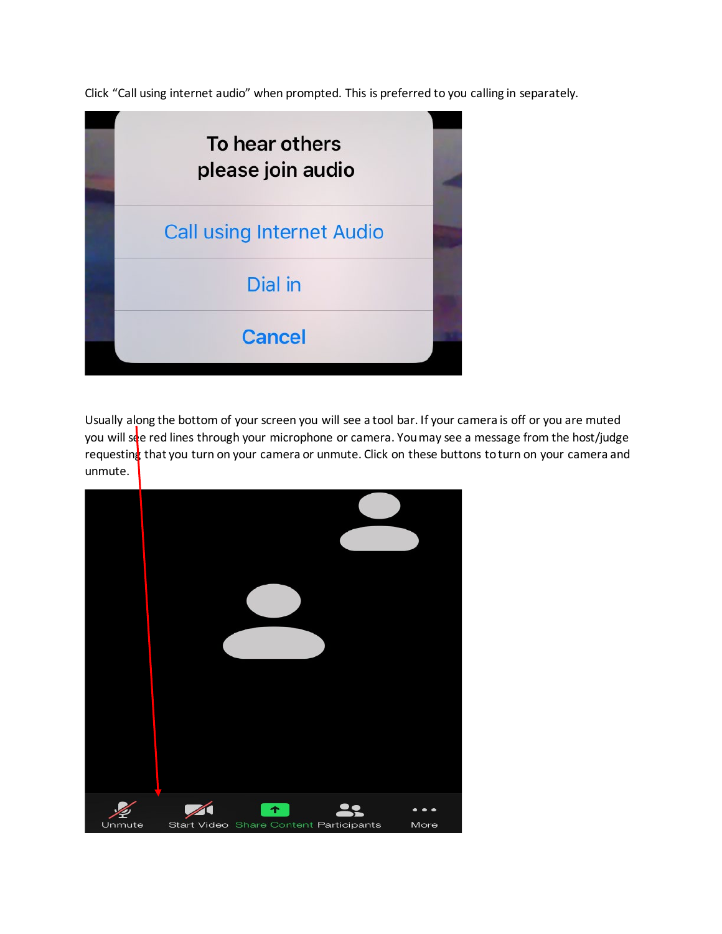Click "Call using internet audio" when prompted. This is preferred to you calling in separately.



Usually along the bottom of your screen you will see a tool bar. If your camera is off or you are muted you will see red lines through your microphone or camera. You may see a message from the host/judge requesting that you turn on your camera or unmute. Click on these buttons to turn on your camera and unmute.

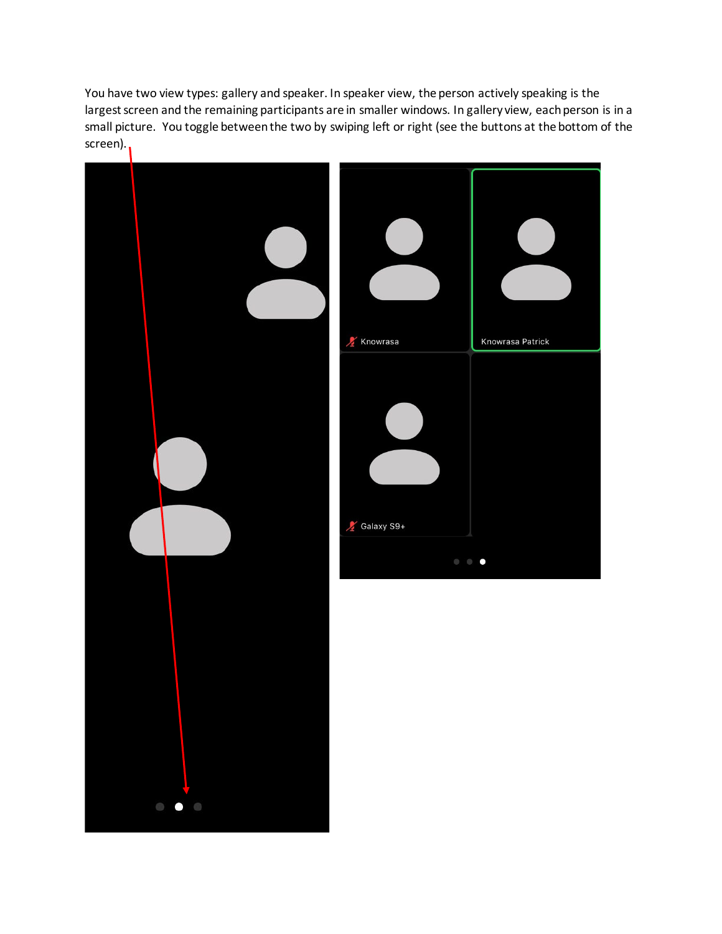You have two view types: gallery and speaker. In speaker view, the person actively speaking is the largest screen and the remaining participants are in smaller windows. In gallery view, each person is in a small picture. You toggle between the two by swiping left or right (see the buttons at the bottom of the screen).

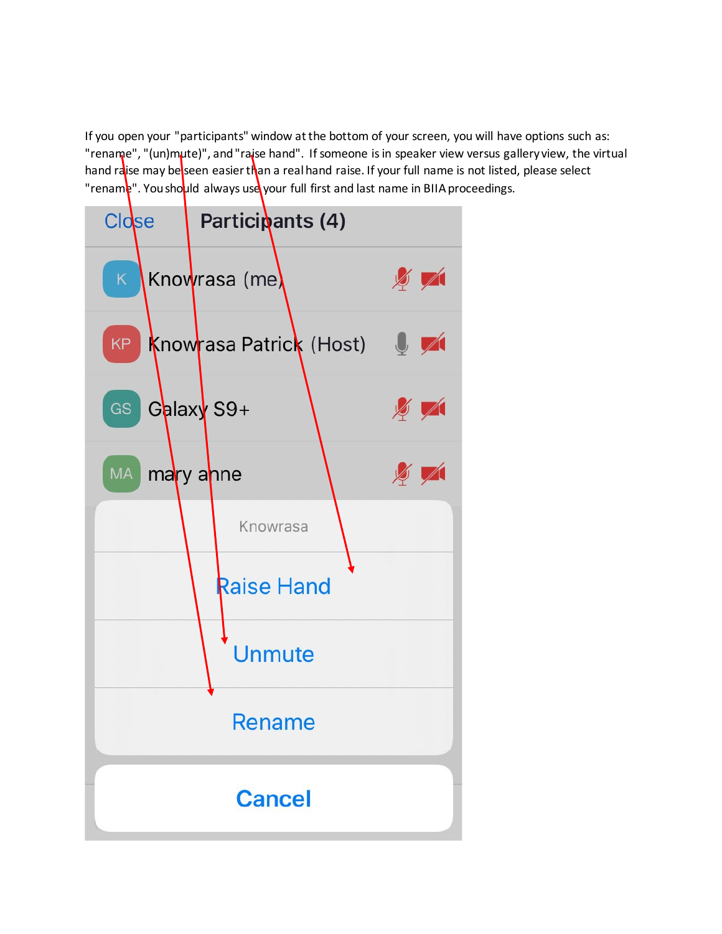If you open your "participants" window at the bottom of your screen, you will have options such as: "rename", "(un)mute)", and "raise hand". If someone is in speaker view versus gallery view, the virtual hand raise may be seen easier than a real hand raise. If your full name is not listed, please select "rename". You should always use your full first and last name in BIIA proceedings.

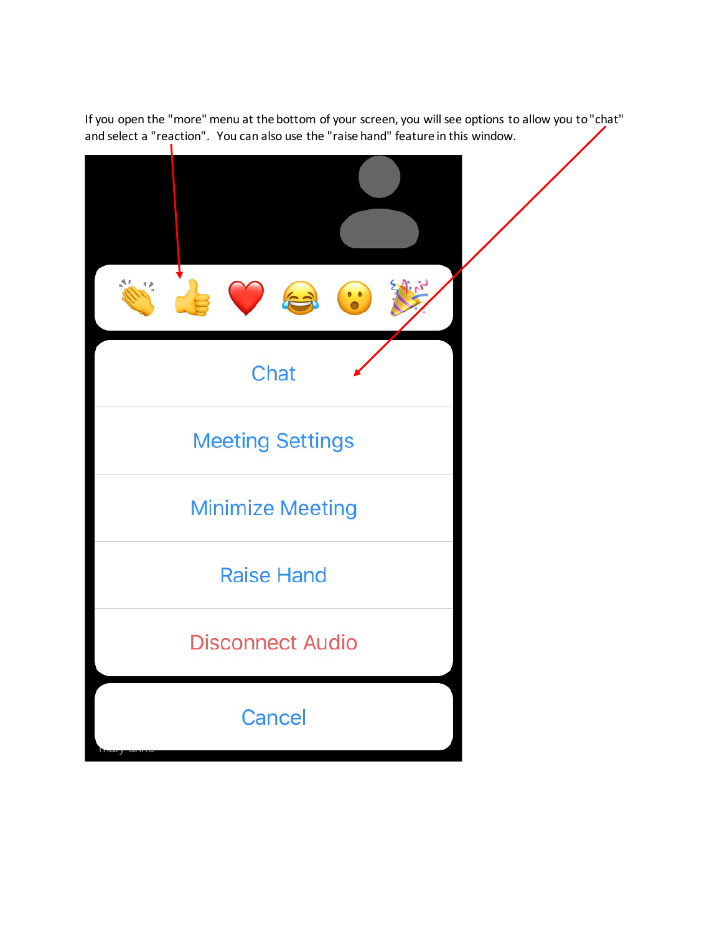If you open the "more" menu at the bottom of your screen, you will see options to allow you to "chat" and select a "reaction". You can also use the "raise hand" feature in this window.<br>|

| $\bullet$               |  |
|-------------------------|--|
| Chat                    |  |
| <b>Meeting Settings</b> |  |
| <b>Minimize Meeting</b> |  |
| <b>Raise Hand</b>       |  |
| <b>Disconnect Audio</b> |  |
| Cancel                  |  |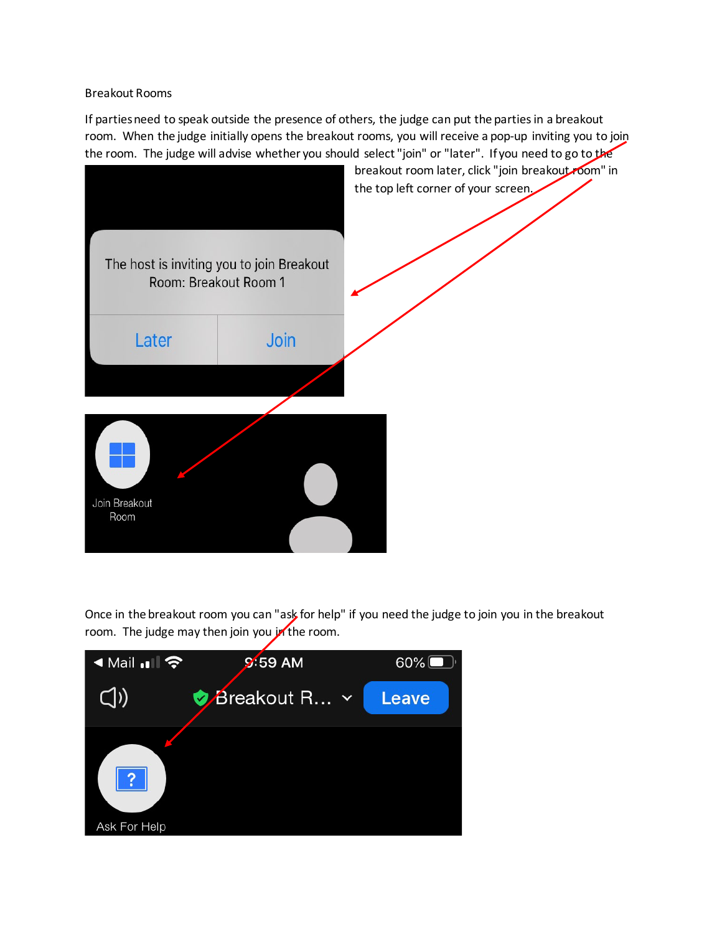Breakout Rooms

If parties need to speak outside the presence of others, the judge can put the parties in a breakout room. When the judge initially opens the breakout rooms, you will receive a pop-up inviting you to join the room. The judge will advise whether you should select "join" or "later". If you need to go to the



Once in the breakout room you can "ask for help" if you need the judge to join you in the breakout room. The judge may then join you in the room.